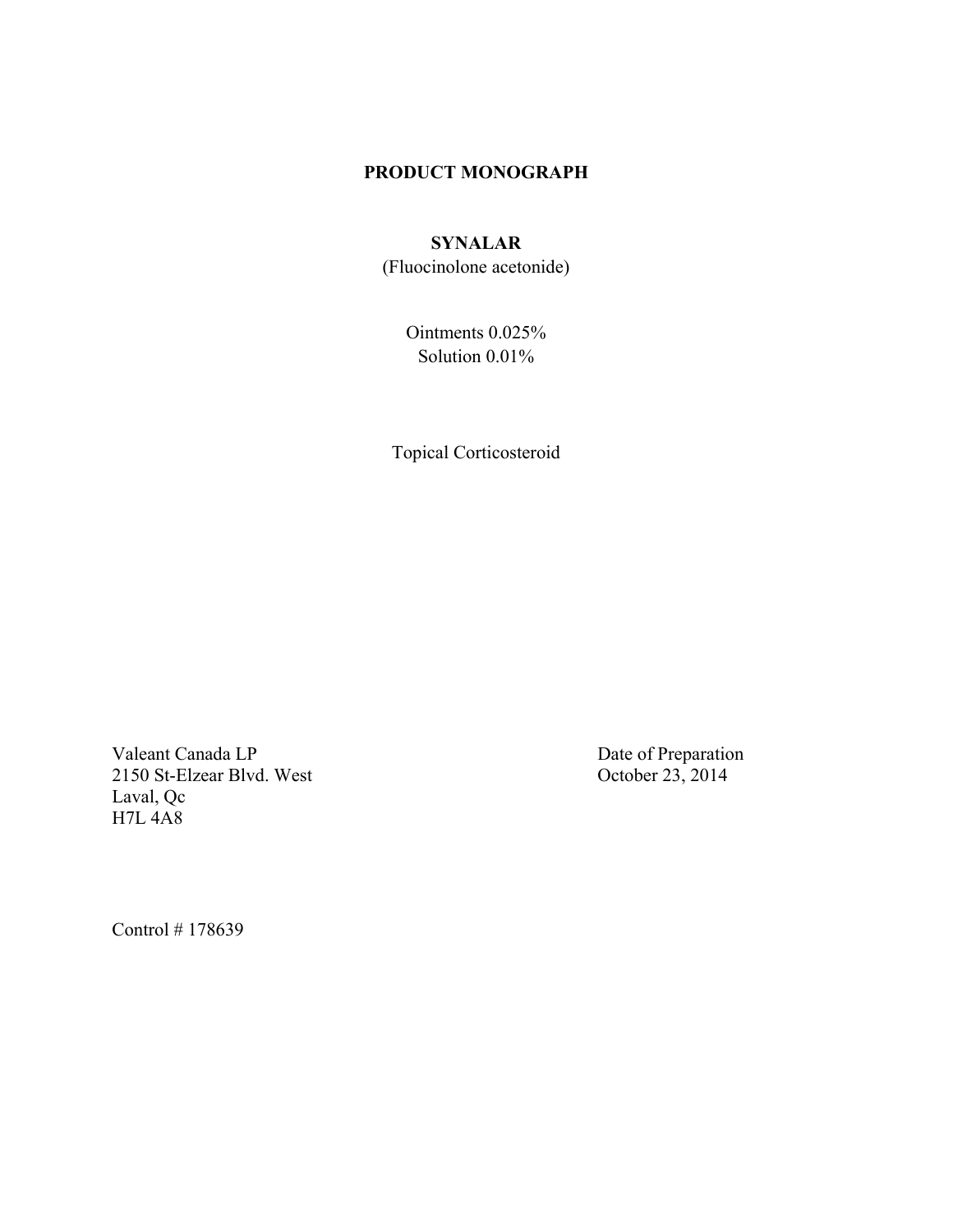## **PRODUCT MONOGRAPH**

# **SYNALAR**

(Fluocinolone acetonide)

Ointments 0.025% Solution 0.01%

Topical Corticosteroid

Valeant Canada LP<br>
2150 St-Elzear Blvd. West<br>
2150 St-Elzear Blvd. West<br>
2150 St-Elzear Blvd. West<br>
2150 St-Elzear Blvd. West<br>
2150 St-Elzear Blvd. West<br>
22. 2014 2150 St-Elzear Blvd. West Laval, Qc H7L 4A8

Control # 178639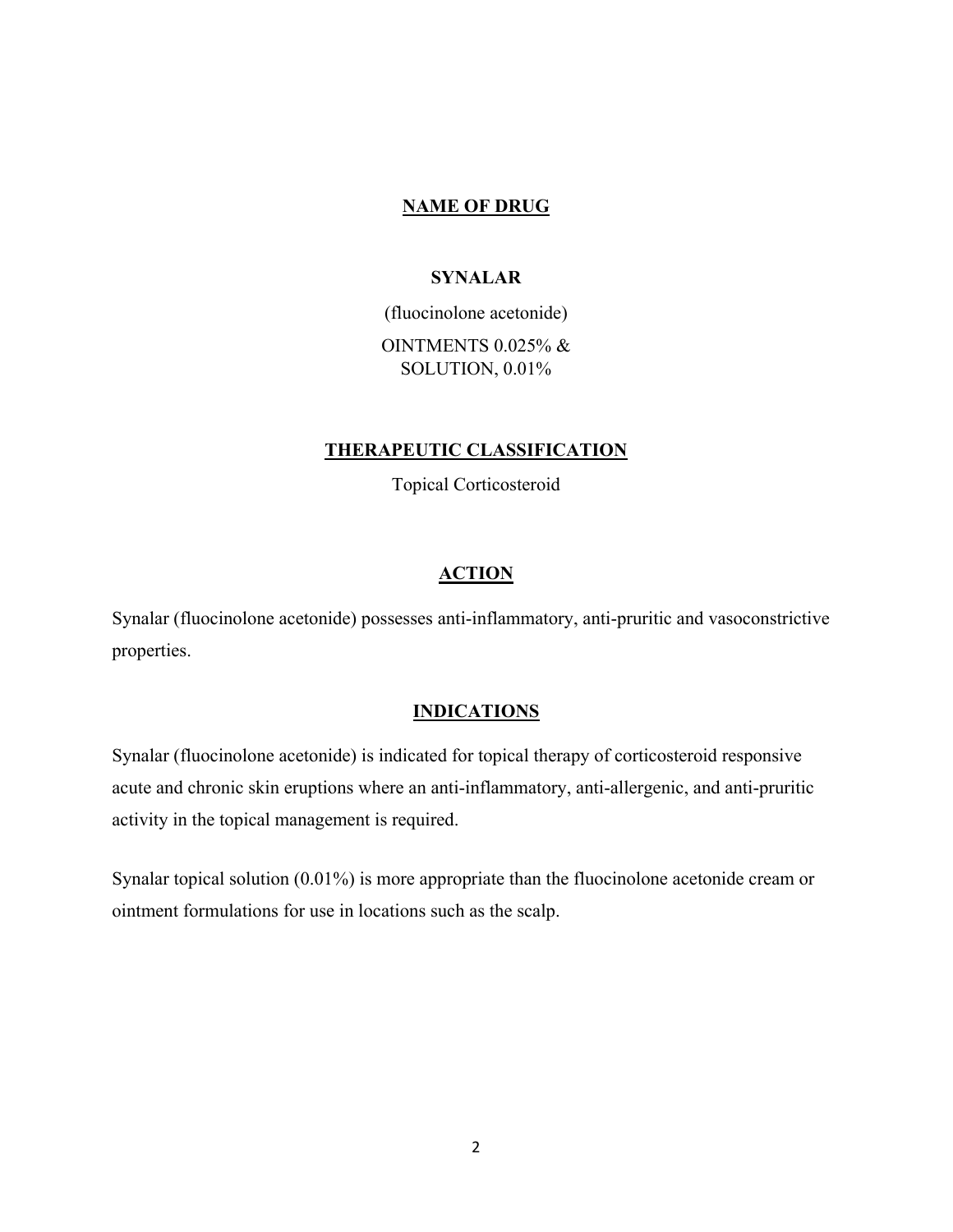### **NAME OF DRUG**

### **SYNALAR**

(fluocinolone acetonide) OINTMENTS 0.025% & SOLUTION, 0.01%

### **THERAPEUTIC CLASSIFICATION**

Topical Corticosteroid

### **ACTION**

Synalar (fluocinolone acetonide) possesses anti-inflammatory, anti-pruritic and vasoconstrictive properties.

#### **INDICATIONS**

Synalar (fluocinolone acetonide) is indicated for topical therapy of corticosteroid responsive acute and chronic skin eruptions where an anti-inflammatory, anti-allergenic, and anti-pruritic activity in the topical management is required.

Synalar topical solution (0.01%) is more appropriate than the fluocinolone acetonide cream or ointment formulations for use in locations such as the scalp.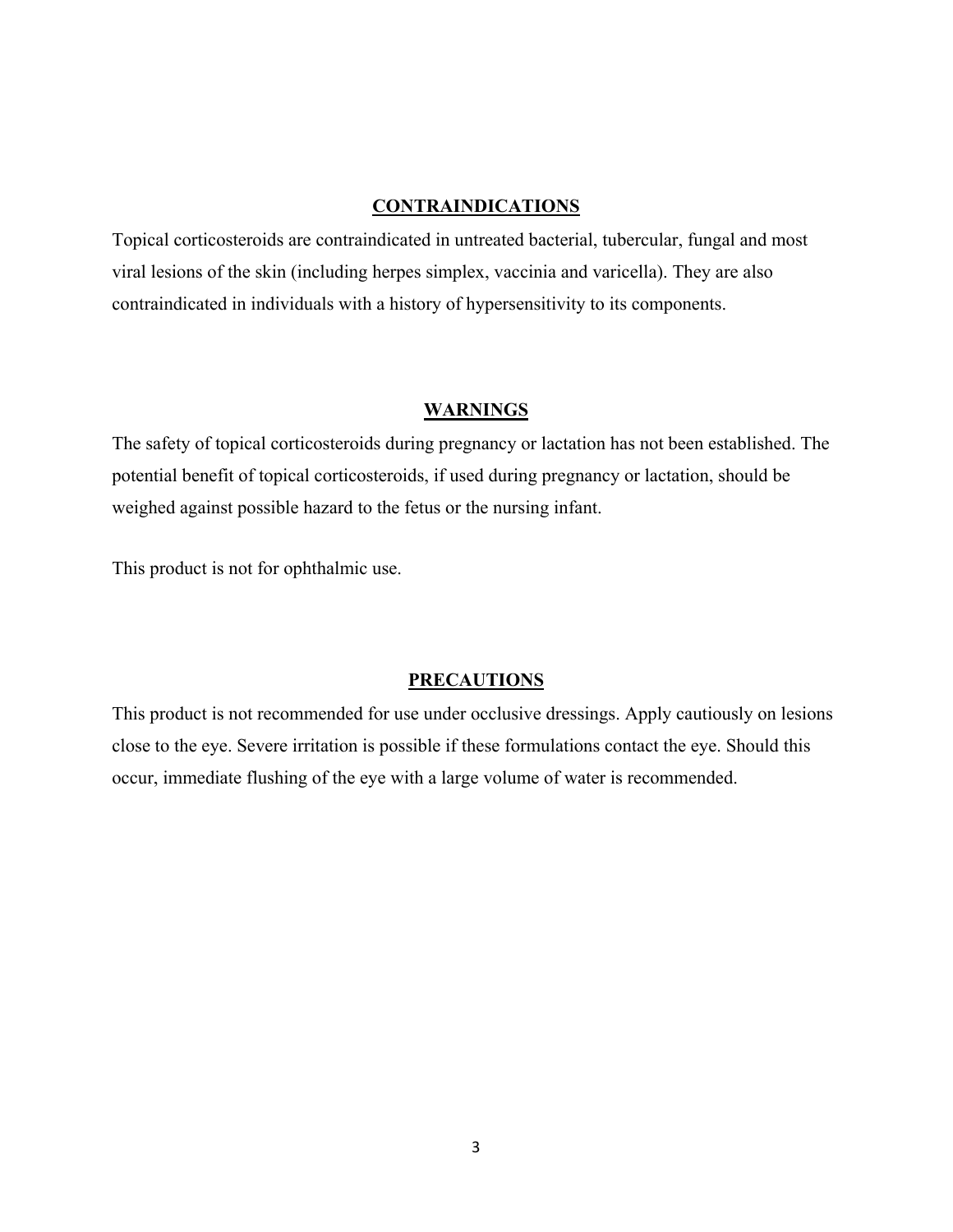### **CONTRAINDICATIONS**

Topical corticosteroids are contraindicated in untreated bacterial, tubercular, fungal and most viral lesions of the skin (including herpes simplex, vaccinia and varicella). They are also contraindicated in individuals with a history of hypersensitivity to its components.

### **WARNINGS**

The safety of topical corticosteroids during pregnancy or lactation has not been established. The potential benefit of topical corticosteroids, if used during pregnancy or lactation, should be weighed against possible hazard to the fetus or the nursing infant.

This product is not for ophthalmic use.

### **PRECAUTIONS**

This product is not recommended for use under occlusive dressings. Apply cautiously on lesions close to the eye. Severe irritation is possible if these formulations contact the eye. Should this occur, immediate flushing of the eye with a large volume of water is recommended.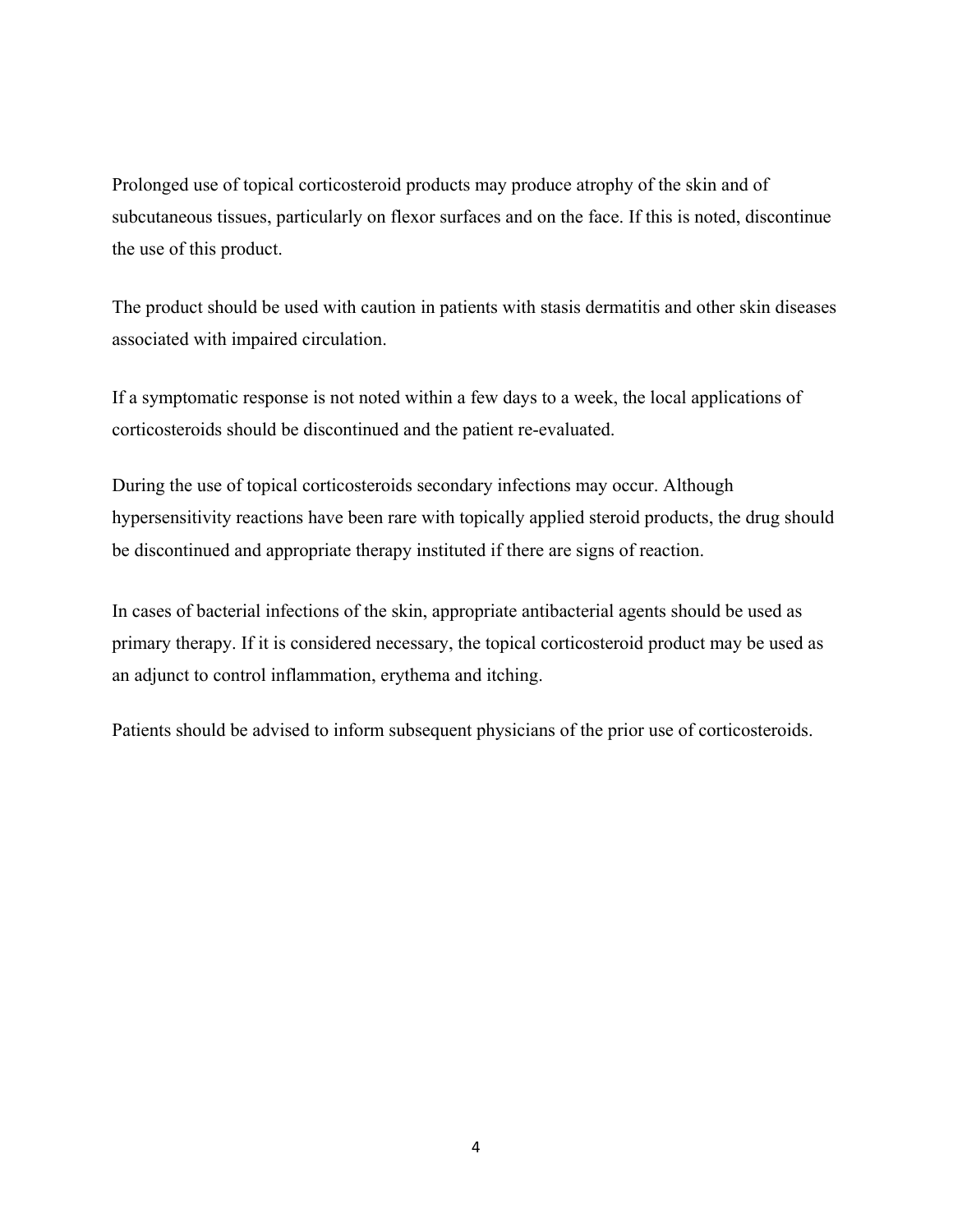Prolonged use of topical corticosteroid products may produce atrophy of the skin and of subcutaneous tissues, particularly on flexor surfaces and on the face. If this is noted, discontinue the use of this product.

The product should be used with caution in patients with stasis dermatitis and other skin diseases associated with impaired circulation.

If a symptomatic response is not noted within a few days to a week, the local applications of corticosteroids should be discontinued and the patient re-evaluated.

During the use of topical corticosteroids secondary infections may occur. Although hypersensitivity reactions have been rare with topically applied steroid products, the drug should be discontinued and appropriate therapy instituted if there are signs of reaction.

In cases of bacterial infections of the skin, appropriate antibacterial agents should be used as primary therapy. If it is considered necessary, the topical corticosteroid product may be used as an adjunct to control inflammation, erythema and itching.

Patients should be advised to inform subsequent physicians of the prior use of corticosteroids.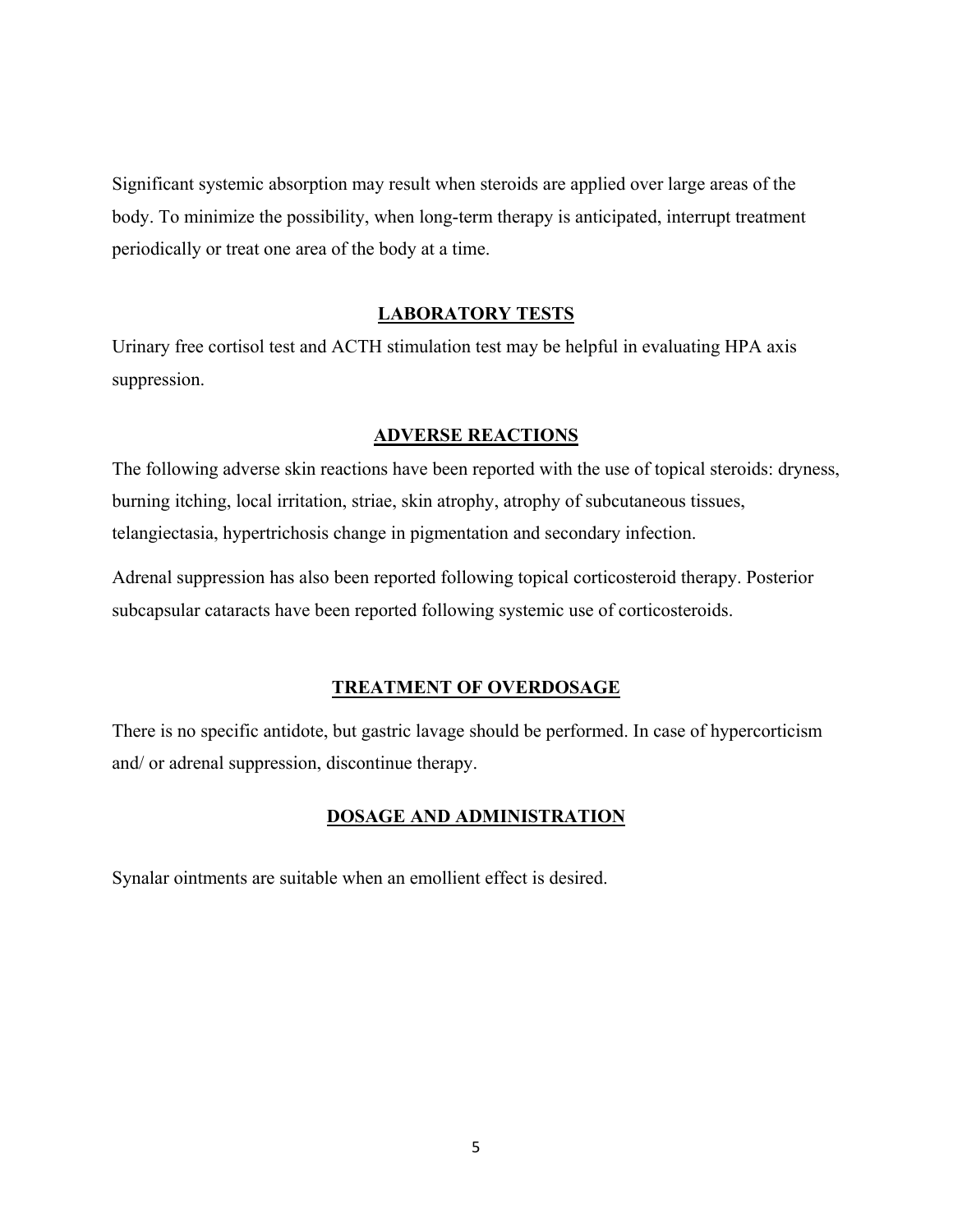Significant systemic absorption may result when steroids are applied over large areas of the body. To minimize the possibility, when long-term therapy is anticipated, interrupt treatment periodically or treat one area of the body at a time.

### **LABORATORY TESTS**

Urinary free cortisol test and ACTH stimulation test may be helpful in evaluating HPA axis suppression.

### **ADVERSE REACTIONS**

The following adverse skin reactions have been reported with the use of topical steroids: dryness, burning itching, local irritation, striae, skin atrophy, atrophy of subcutaneous tissues, telangiectasia, hypertrichosis change in pigmentation and secondary infection.

Adrenal suppression has also been reported following topical corticosteroid therapy. Posterior subcapsular cataracts have been reported following systemic use of corticosteroids.

### **TREATMENT OF OVERDOSAGE**

There is no specific antidote, but gastric lavage should be performed. In case of hypercorticism and/ or adrenal suppression, discontinue therapy.

### **DOSAGE AND ADMINISTRATION**

Synalar ointments are suitable when an emollient effect is desired.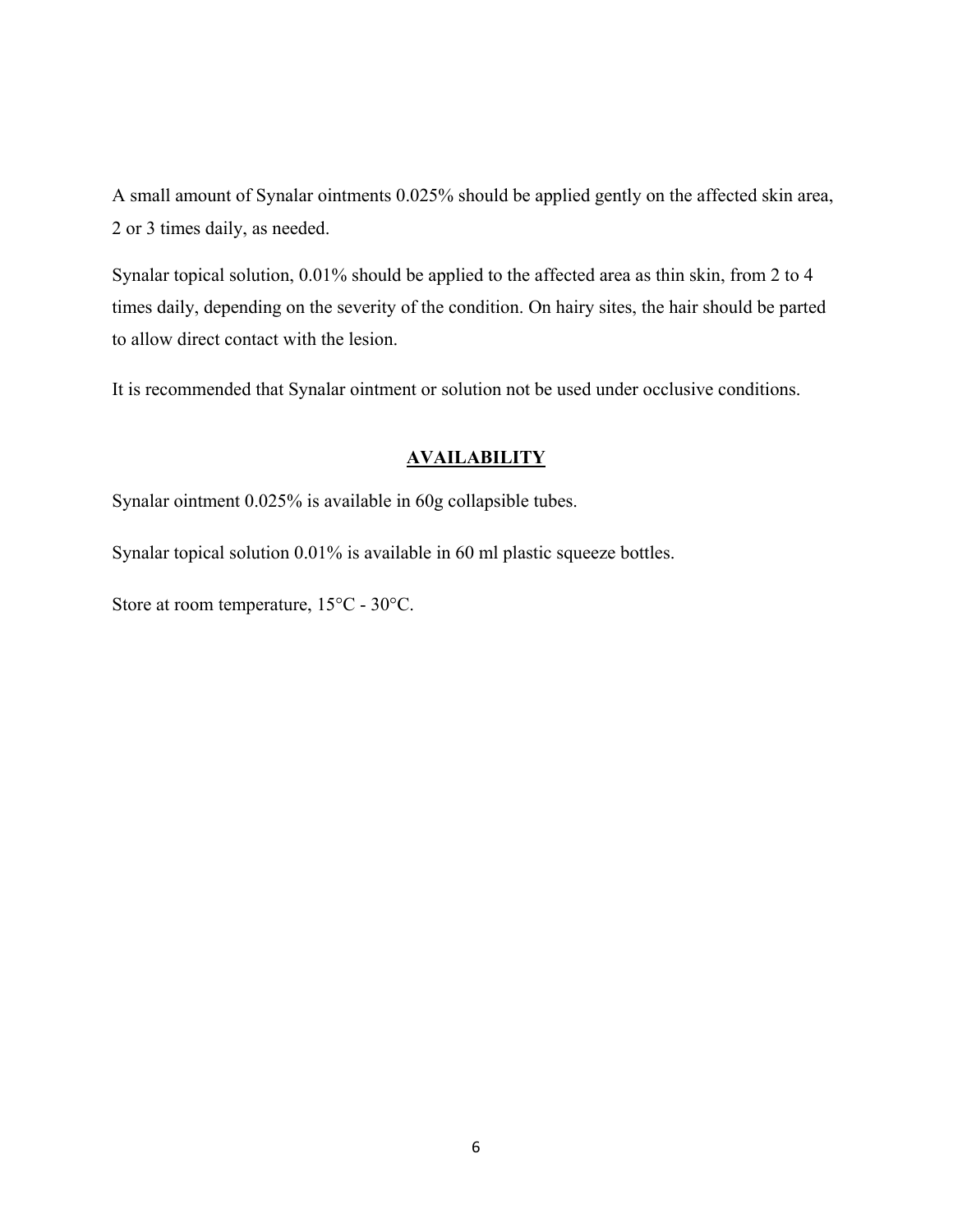A small amount of Synalar ointments 0.025% should be applied gently on the affected skin area, 2 or 3 times daily, as needed.

Synalar topical solution, 0.01% should be applied to the affected area as thin skin, from 2 to 4 times daily, depending on the severity of the condition. On hairy sites, the hair should be parted to allow direct contact with the lesion.

It is recommended that Synalar ointment or solution not be used under occlusive conditions.

### **AVAILABILITY**

Synalar ointment 0.025% is available in 60g collapsible tubes.

Synalar topical solution 0.01% is available in 60 ml plastic squeeze bottles.

Store at room temperature, 15°C - 30°C.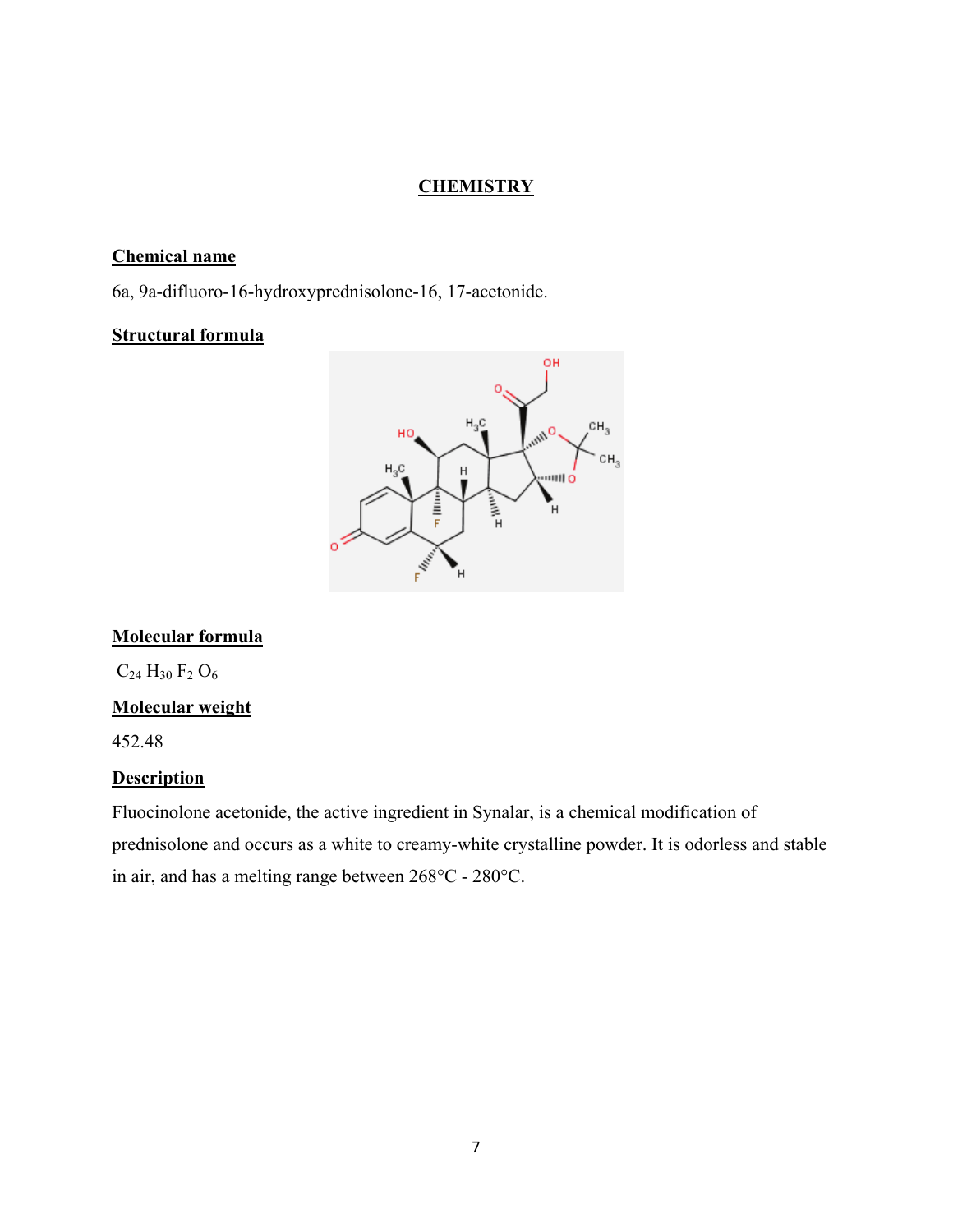## **CHEMISTRY**

### **Chemical name**

6a, 9a-difluoro-16-hydroxyprednisolone-16, 17-acetonide.

## **Structural formula**



## **Molecular formula**

 $C_{24}$  H<sub>30</sub> F<sub>2</sub> O<sub>6</sub>

## **Molecular weight**

452.48

### **Description**

Fluocinolone acetonide, the active ingredient in Synalar, is a chemical modification of prednisolone and occurs as a white to creamy-white crystalline powder. It is odorless and stable in air, and has a melting range between 268°C - 280°C.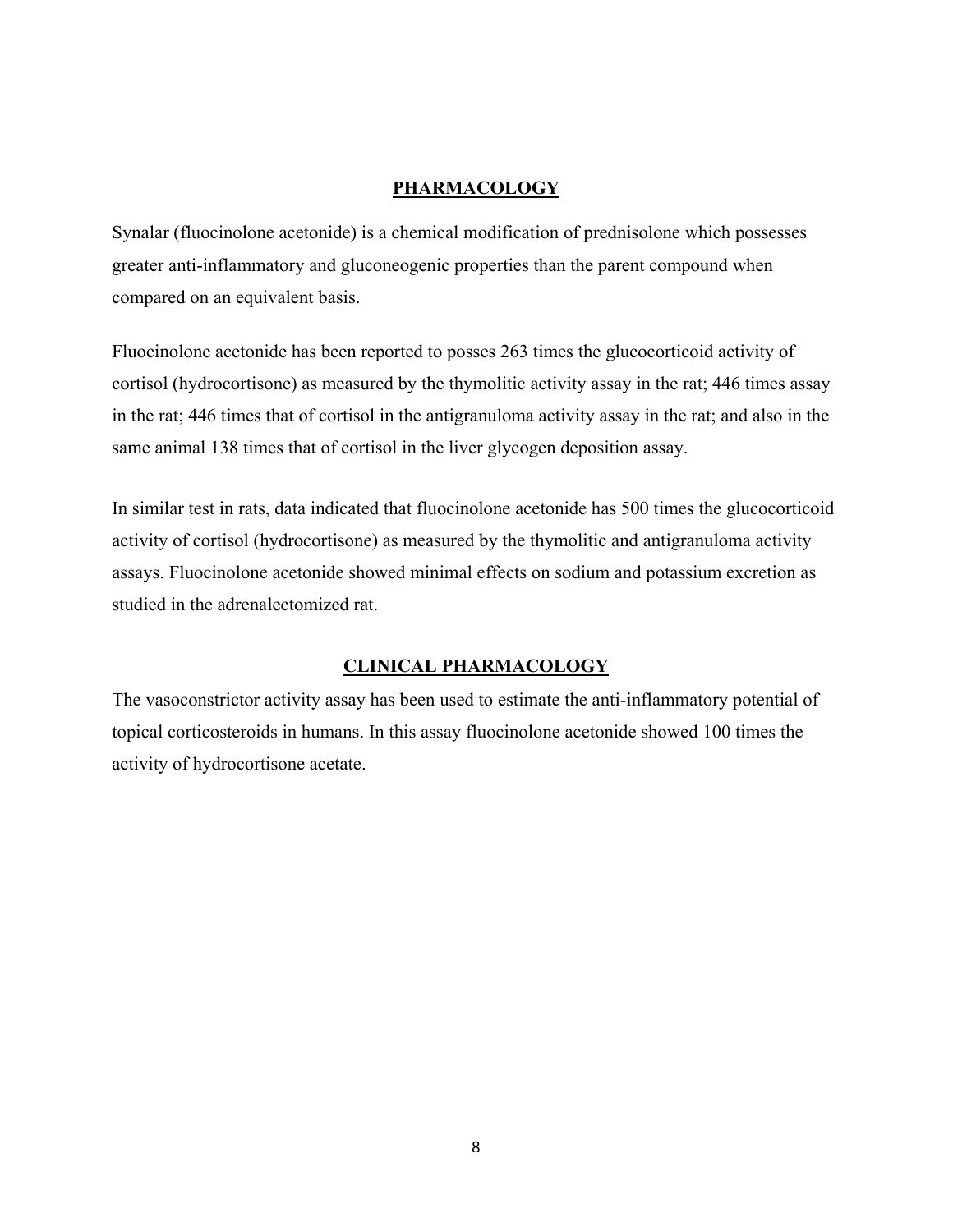### **PHARMACOLOGY**

Synalar (fluocinolone acetonide) is a chemical modification of prednisolone which possesses greater anti-inflammatory and gluconeogenic properties than the parent compound when compared on an equivalent basis.

Fluocinolone acetonide has been reported to posses 263 times the glucocorticoid activity of cortisol (hydrocortisone) as measured by the thymolitic activity assay in the rat; 446 times assay in the rat; 446 times that of cortisol in the antigranuloma activity assay in the rat; and also in the same animal 138 times that of cortisol in the liver glycogen deposition assay.

In similar test in rats, data indicated that fluocinolone acetonide has 500 times the glucocorticoid activity of cortisol (hydrocortisone) as measured by the thymolitic and antigranuloma activity assays. Fluocinolone acetonide showed minimal effects on sodium and potassium excretion as studied in the adrenalectomized rat.

### **CLINICAL PHARMACOLOGY**

The vasoconstrictor activity assay has been used to estimate the anti-inflammatory potential of topical corticosteroids in humans. In this assay fluocinolone acetonide showed 100 times the activity of hydrocortisone acetate.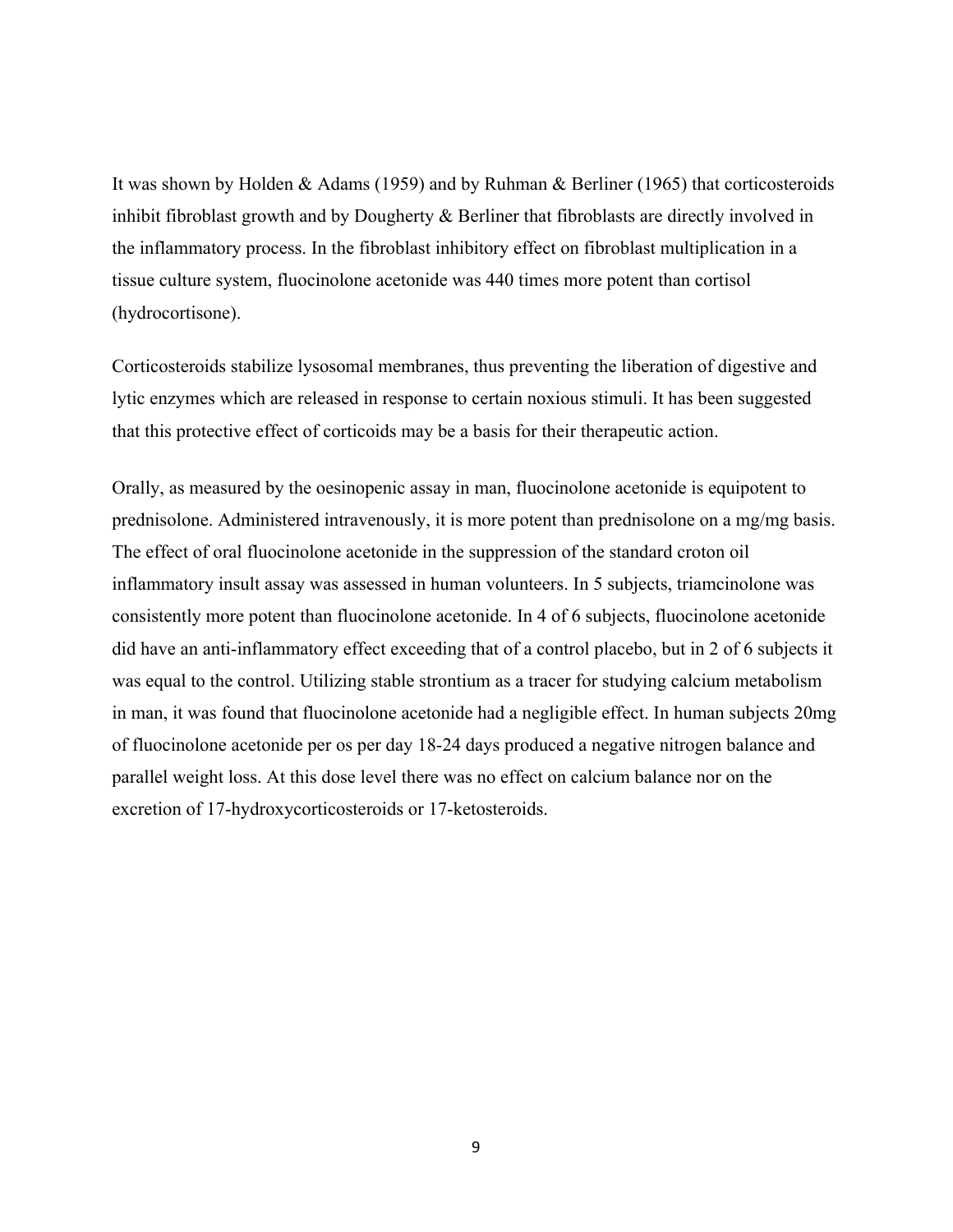It was shown by Holden & Adams (1959) and by Ruhman & Berliner (1965) that corticosteroids inhibit fibroblast growth and by Dougherty & Berliner that fibroblasts are directly involved in the inflammatory process. In the fibroblast inhibitory effect on fibroblast multiplication in a tissue culture system, fluocinolone acetonide was 440 times more potent than cortisol (hydrocortisone).

Corticosteroids stabilize lysosomal membranes, thus preventing the liberation of digestive and lytic enzymes which are released in response to certain noxious stimuli. It has been suggested that this protective effect of corticoids may be a basis for their therapeutic action.

Orally, as measured by the oesinopenic assay in man, fluocinolone acetonide is equipotent to prednisolone. Administered intravenously, it is more potent than prednisolone on a mg/mg basis. The effect of oral fluocinolone acetonide in the suppression of the standard croton oil inflammatory insult assay was assessed in human volunteers. In 5 subjects, triamcinolone was consistently more potent than fluocinolone acetonide. In 4 of 6 subjects, fluocinolone acetonide did have an anti-inflammatory effect exceeding that of a control placebo, but in 2 of 6 subjects it was equal to the control. Utilizing stable strontium as a tracer for studying calcium metabolism in man, it was found that fluocinolone acetonide had a negligible effect. In human subjects 20mg of fluocinolone acetonide per os per day 18-24 days produced a negative nitrogen balance and parallel weight loss. At this dose level there was no effect on calcium balance nor on the excretion of 17-hydroxycorticosteroids or 17-ketosteroids.

9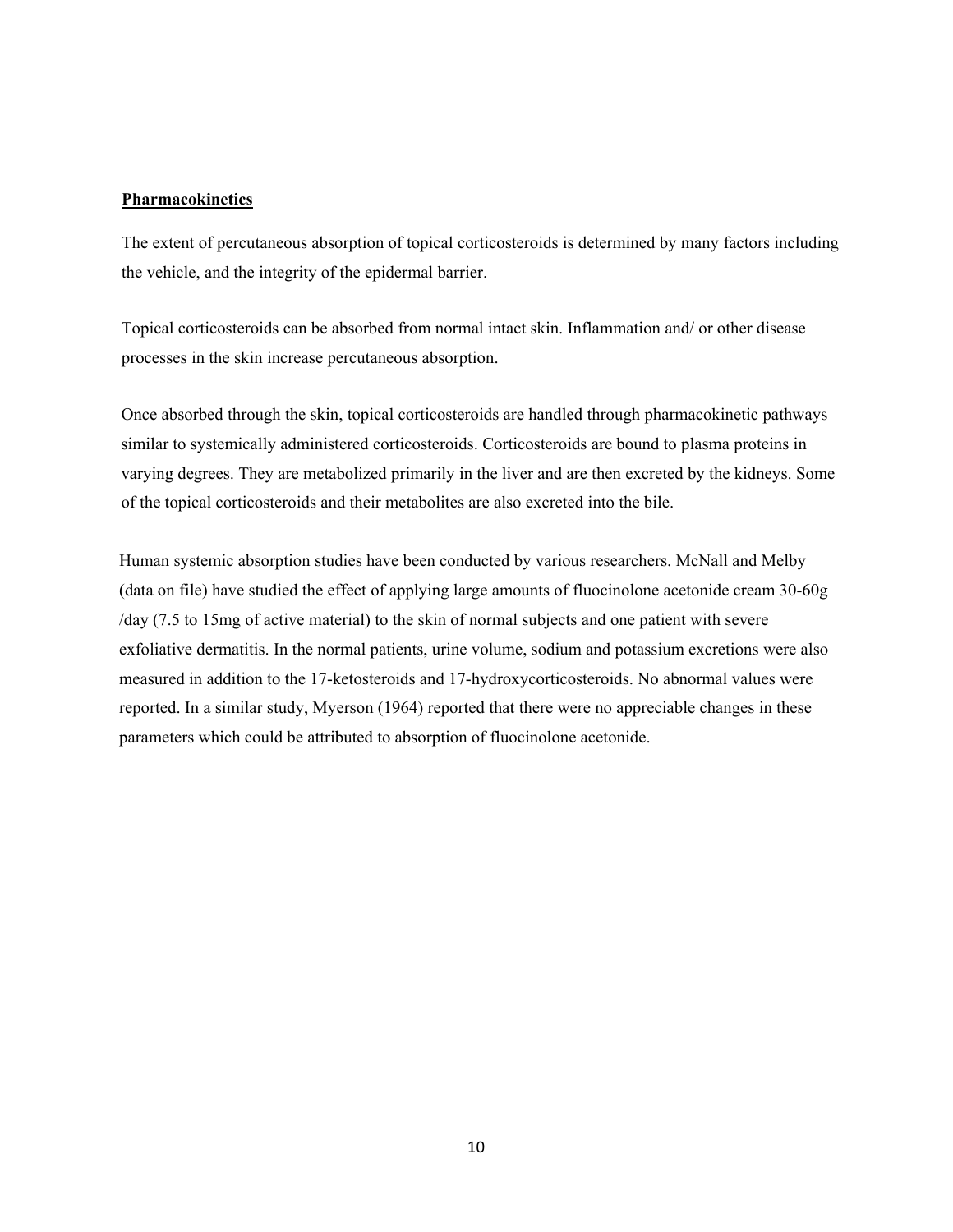#### **Pharmacokinetics**

The extent of percutaneous absorption of topical corticosteroids is determined by many factors including the vehicle, and the integrity of the epidermal barrier.

Topical corticosteroids can be absorbed from normal intact skin. Inflammation and/ or other disease processes in the skin increase percutaneous absorption.

Once absorbed through the skin, topical corticosteroids are handled through pharmacokinetic pathways similar to systemically administered corticosteroids. Corticosteroids are bound to plasma proteins in varying degrees. They are metabolized primarily in the liver and are then excreted by the kidneys. Some of the topical corticosteroids and their metabolites are also excreted into the bile.

Human systemic absorption studies have been conducted by various researchers. McNall and Melby (data on file) have studied the effect of applying large amounts of fluocinolone acetonide cream 30-60g /day (7.5 to 15mg of active material) to the skin of normal subjects and one patient with severe exfoliative dermatitis. In the normal patients, urine volume, sodium and potassium excretions were also measured in addition to the 17-ketosteroids and 17-hydroxycorticosteroids. No abnormal values were reported. In a similar study, Myerson (1964) reported that there were no appreciable changes in these parameters which could be attributed to absorption of fluocinolone acetonide.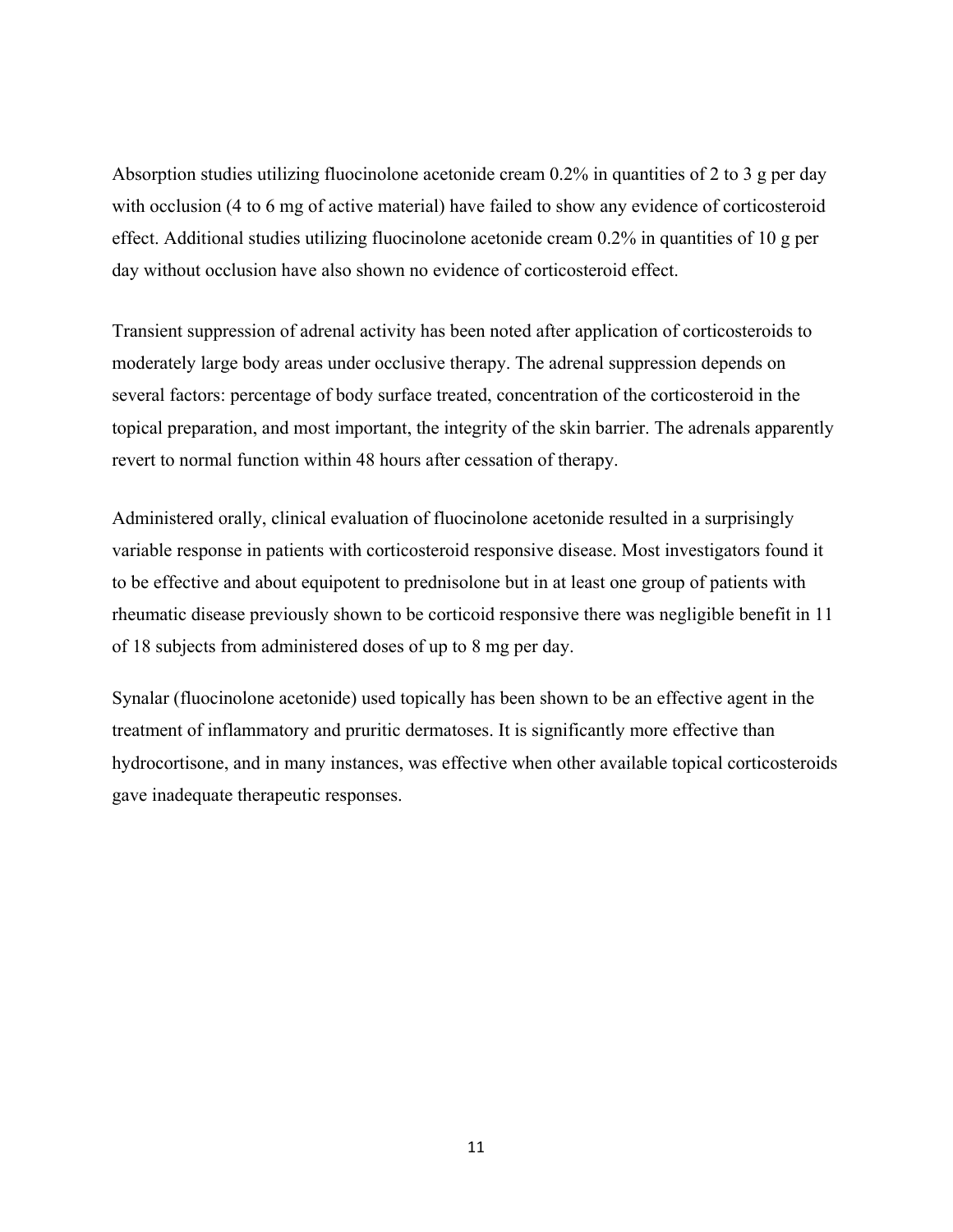Absorption studies utilizing fluocinolone acetonide cream 0.2% in quantities of 2 to 3 g per day with occlusion (4 to 6 mg of active material) have failed to show any evidence of corticosteroid effect. Additional studies utilizing fluocinolone acetonide cream 0.2% in quantities of 10 g per day without occlusion have also shown no evidence of corticosteroid effect.

Transient suppression of adrenal activity has been noted after application of corticosteroids to moderately large body areas under occlusive therapy. The adrenal suppression depends on several factors: percentage of body surface treated, concentration of the corticosteroid in the topical preparation, and most important, the integrity of the skin barrier. The adrenals apparently revert to normal function within 48 hours after cessation of therapy.

Administered orally, clinical evaluation of fluocinolone acetonide resulted in a surprisingly variable response in patients with corticosteroid responsive disease. Most investigators found it to be effective and about equipotent to prednisolone but in at least one group of patients with rheumatic disease previously shown to be corticoid responsive there was negligible benefit in 11 of 18 subjects from administered doses of up to 8 mg per day.

Synalar (fluocinolone acetonide) used topically has been shown to be an effective agent in the treatment of inflammatory and pruritic dermatoses. It is significantly more effective than hydrocortisone, and in many instances, was effective when other available topical corticosteroids gave inadequate therapeutic responses.

11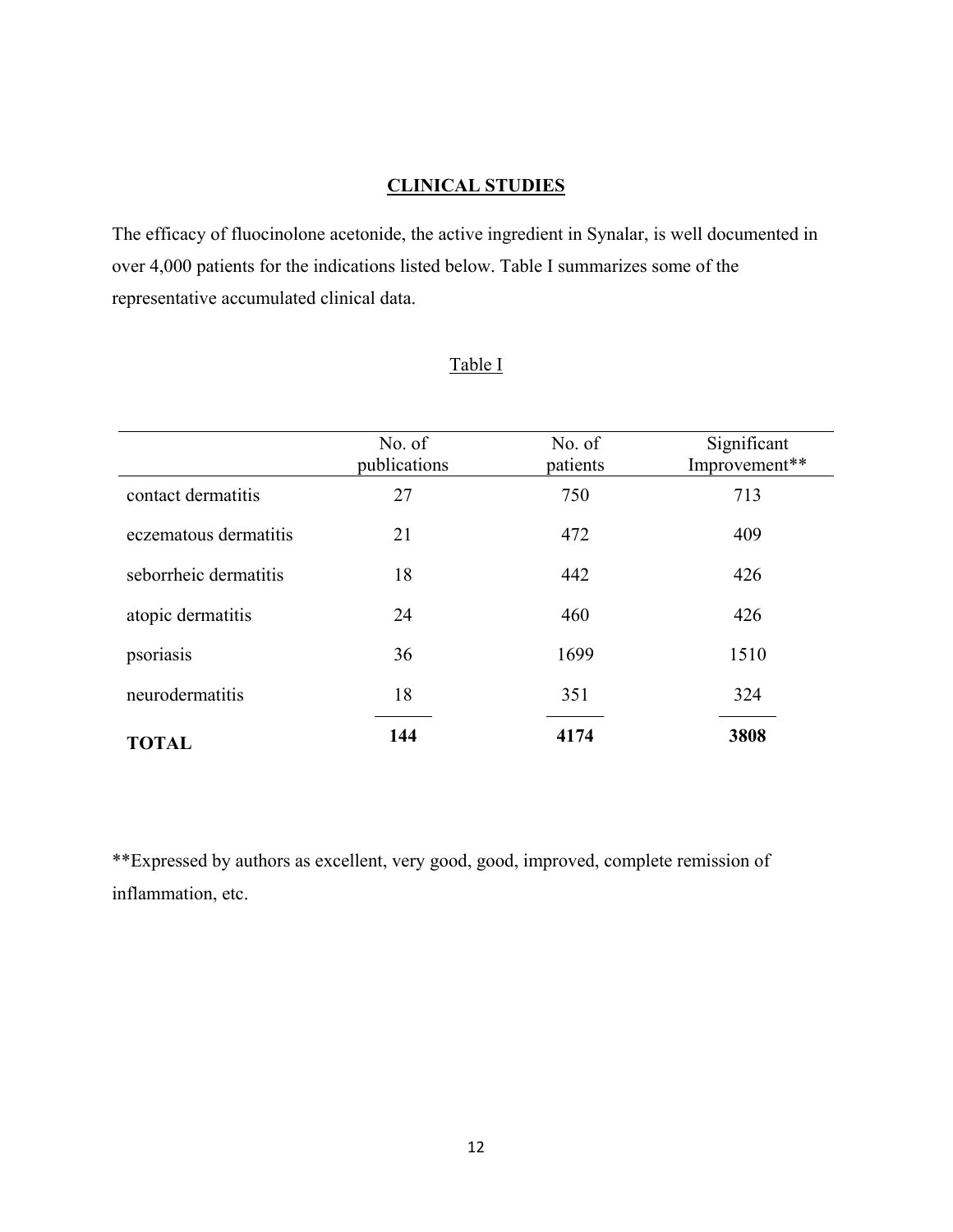## **CLINICAL STUDIES**

The efficacy of fluocinolone acetonide, the active ingredient in Synalar, is well documented in over 4,000 patients for the indications listed below. Table I summarizes some of the representative accumulated clinical data.

|                       | No. of<br>publications | No. of<br>patients | Significant<br>Improvement** |
|-----------------------|------------------------|--------------------|------------------------------|
| contact dermatitis    | 27                     | 750                | 713                          |
| eczematous dermatitis | 21                     | 472                | 409                          |
| seborrheic dermatitis | 18                     | 442                | 426                          |
| atopic dermatitis     | 24                     | 460                | 426                          |
| psoriasis             | 36                     | 1699               | 1510                         |
| neurodermatitis       | 18                     | 351                | 324                          |
| <b>TOTAL</b>          | 144                    | 4174               | 3808                         |

## Table I

\*\*Expressed by authors as excellent, very good, good, improved, complete remission of inflammation, etc.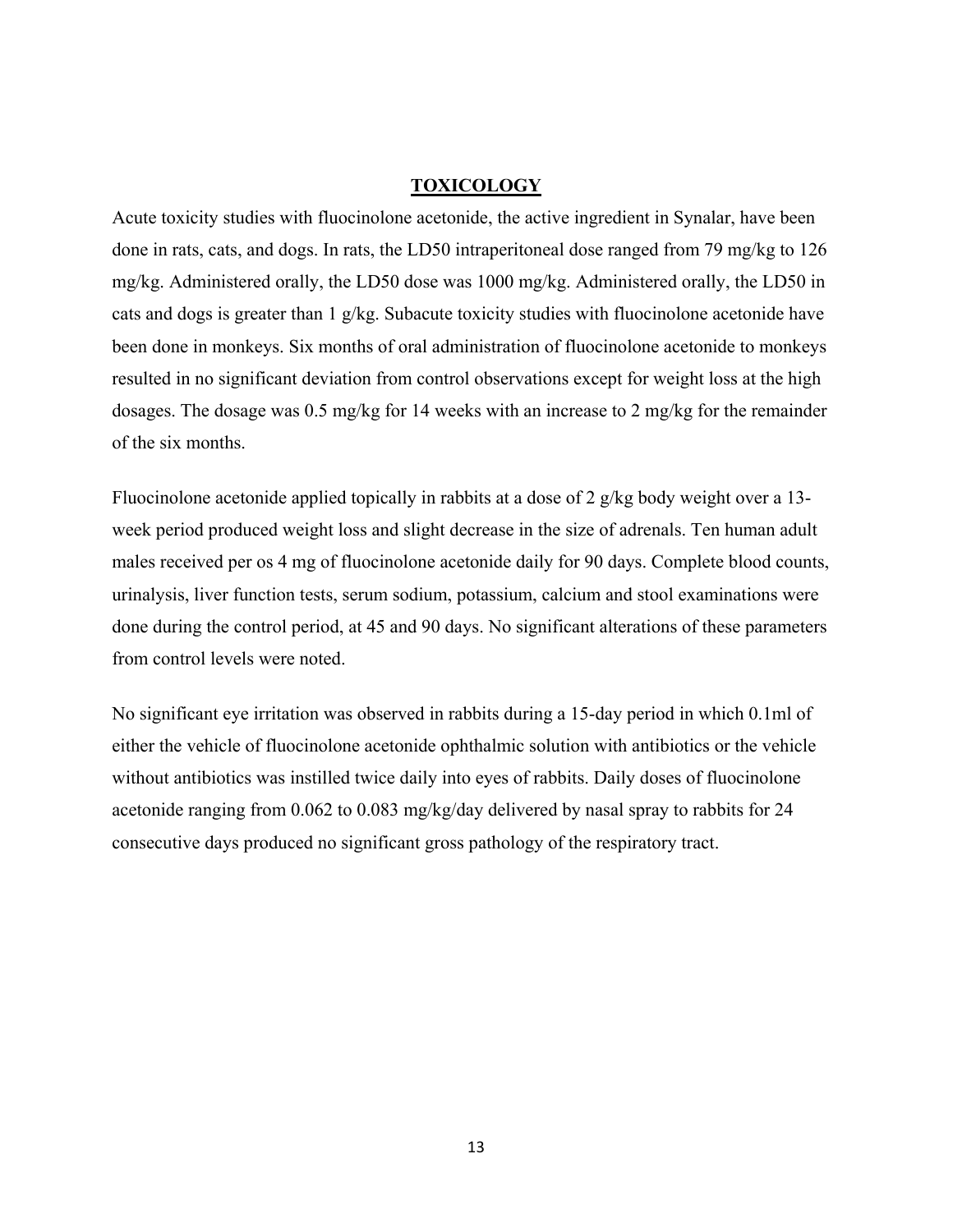### **TOXICOLOGY**

Acute toxicity studies with fluocinolone acetonide, the active ingredient in Synalar, have been done in rats, cats, and dogs. In rats, the LD50 intraperitoneal dose ranged from 79 mg/kg to 126 mg/kg. Administered orally, the LD50 dose was 1000 mg/kg. Administered orally, the LD50 in cats and dogs is greater than 1 g/kg. Subacute toxicity studies with fluocinolone acetonide have been done in monkeys. Six months of oral administration of fluocinolone acetonide to monkeys resulted in no significant deviation from control observations except for weight loss at the high dosages. The dosage was 0.5 mg/kg for 14 weeks with an increase to 2 mg/kg for the remainder of the six months.

Fluocinolone acetonide applied topically in rabbits at a dose of 2 g/kg body weight over a 13 week period produced weight loss and slight decrease in the size of adrenals. Ten human adult males received per os 4 mg of fluocinolone acetonide daily for 90 days. Complete blood counts, urinalysis, liver function tests, serum sodium, potassium, calcium and stool examinations were done during the control period, at 45 and 90 days. No significant alterations of these parameters from control levels were noted.

No significant eye irritation was observed in rabbits during a 15-day period in which 0.1ml of either the vehicle of fluocinolone acetonide ophthalmic solution with antibiotics or the vehicle without antibiotics was instilled twice daily into eyes of rabbits. Daily doses of fluocinolone acetonide ranging from 0.062 to 0.083 mg/kg/day delivered by nasal spray to rabbits for 24 consecutive days produced no significant gross pathology of the respiratory tract.

13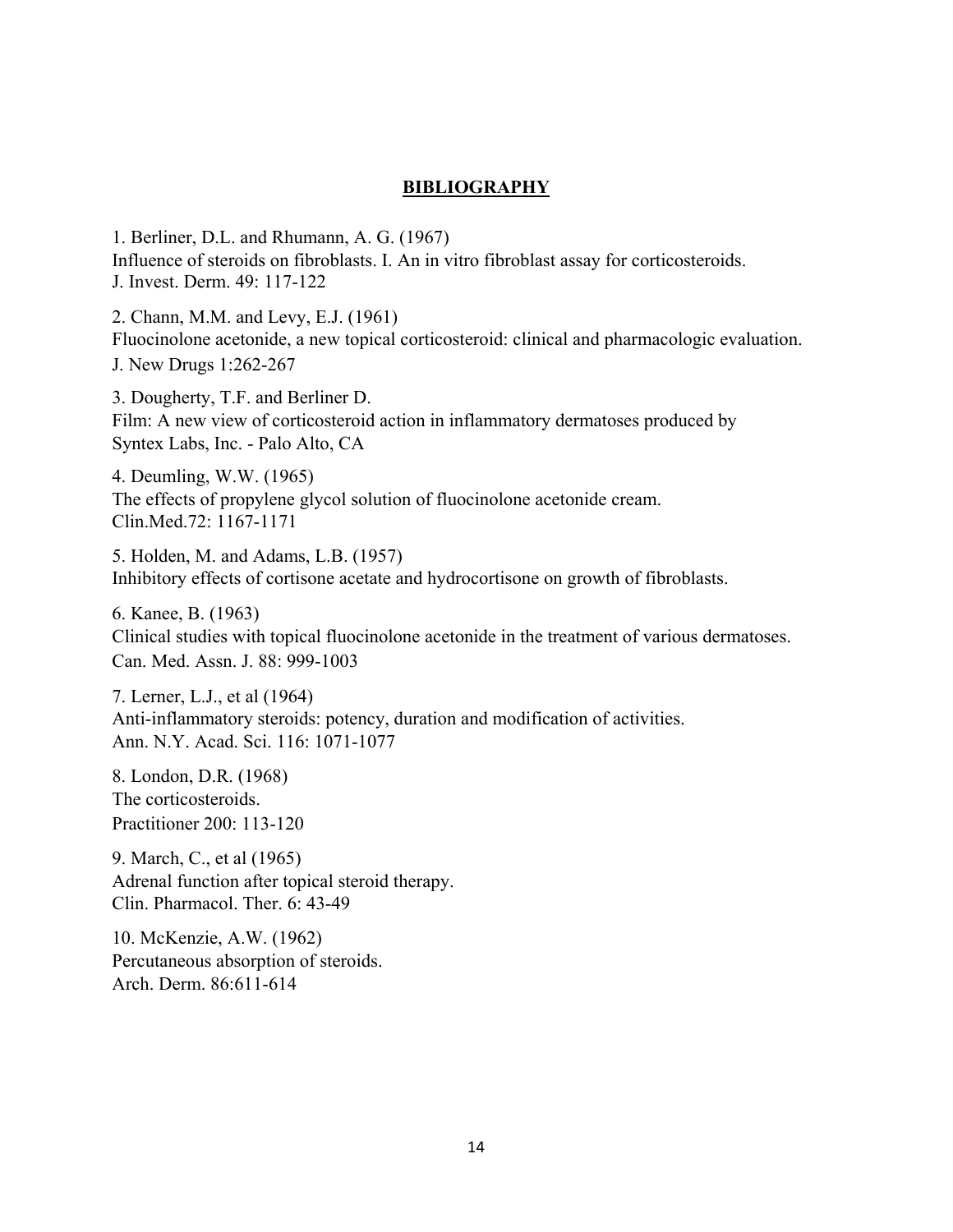### **BIBLIOGRAPHY**

1. Berliner, D.L. and Rhumann, A. G. (1967) Influence of steroids on fibroblasts. I. An in vitro fibroblast assay for corticosteroids. J. Invest. Derm. 49: 117-122

2. Chann, M.M. and Levy, E.J. (1961) Fluocinolone acetonide, a new topical corticosteroid: clinical and pharmacologic evaluation. J. New Drugs 1:262-267

3. Dougherty, T.F. and Berliner D. Film: A new view of corticosteroid action in inflammatory dermatoses produced by Syntex Labs, Inc. - Palo Alto, CA

4. Deumling, W.W. (1965) The effects of propylene glycol solution of fluocinolone acetonide cream. Clin.Med.72: 1167-1171

5. Holden, M. and Adams, L.B. (1957) Inhibitory effects of cortisone acetate and hydrocortisone on growth of fibroblasts.

6. Kanee, B. (1963) Clinical studies with topical fluocinolone acetonide in the treatment of various dermatoses. Can. Med. Assn. J. 88: 999-1003

7. Lerner, L.J., et al (1964) Anti-inflammatory steroids: potency, duration and modification of activities. Ann. N.Y. Acad. Sci. 116: 1071-1077

8. London, D.R. (1968) The corticosteroids. Practitioner 200: 113-120

9. March, C., et al (1965) Adrenal function after topical steroid therapy. Clin. Pharmacol. Ther. 6: 43-49

10. McKenzie, A.W. (1962) Percutaneous absorption of steroids. Arch. Derm. 86:611-614